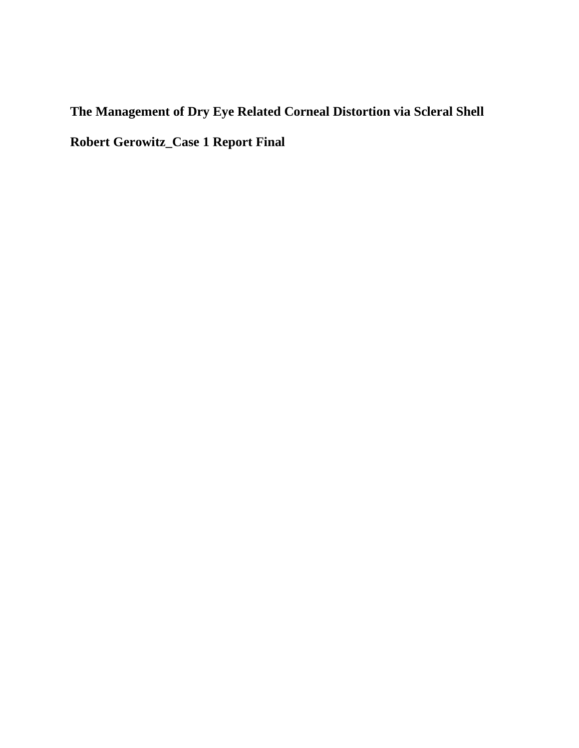# **The Management of Dry Eye Related Corneal Distortion via Scleral Shell Robert Gerowitz\_Case 1 Report Final**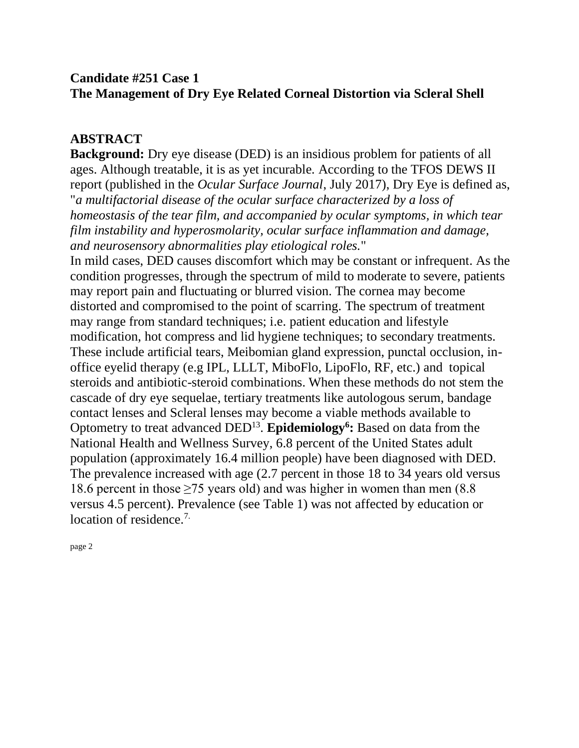### **Candidate #251 Case 1 The Management of Dry Eye Related Corneal Distortion via Scleral Shell**

#### **ABSTRACT**

**Background:** Dry eye disease (DED) is an insidious problem for patients of all ages. Although treatable, it is as yet incurable. According to the TFOS DEWS II report (published in the *Ocular Surface Journal*, July 2017), Dry Eye is defined as, "*a multifactorial disease of the ocular surface characterized by a loss of homeostasis of the tear film, and accompanied by ocular symptoms, in which tear film instability and hyperosmolarity, ocular surface inflammation and damage, and neurosensory abnormalities play etiological roles.*"

In mild cases, DED causes discomfort which may be constant or infrequent. As the condition progresses, through the spectrum of mild to moderate to severe, patients may report pain and fluctuating or blurred vision. The cornea may become distorted and compromised to the point of scarring. The spectrum of treatment may range from standard techniques; i.e. patient education and lifestyle modification, hot compress and lid hygiene techniques; to secondary treatments. These include artificial tears, Meibomian gland expression, punctal occlusion, inoffice eyelid therapy (e.g IPL, LLLT, MiboFlo, LipoFlo, RF, etc.) and topical steroids and antibiotic-steroid combinations. When these methods do not stem the cascade of dry eye sequelae, tertiary treatments like autologous serum, bandage contact lenses and Scleral lenses may become a viable methods available to Optometry to treat advanced DED<sup>13</sup> . **Epidemiology<sup>6</sup> :** Based on data from the National Health and Wellness Survey, 6.8 percent of the United States adult population (approximately 16.4 million people) have been diagnosed with DED. The prevalence increased with age (2.7 percent in those 18 to 34 years old versus 18.6 percent in those  $\geq$  75 years old) and was higher in women than men (8.8) versus 4.5 percent). Prevalence (see Table 1) was not affected by education or location of residence.<sup>7.</sup>

page 2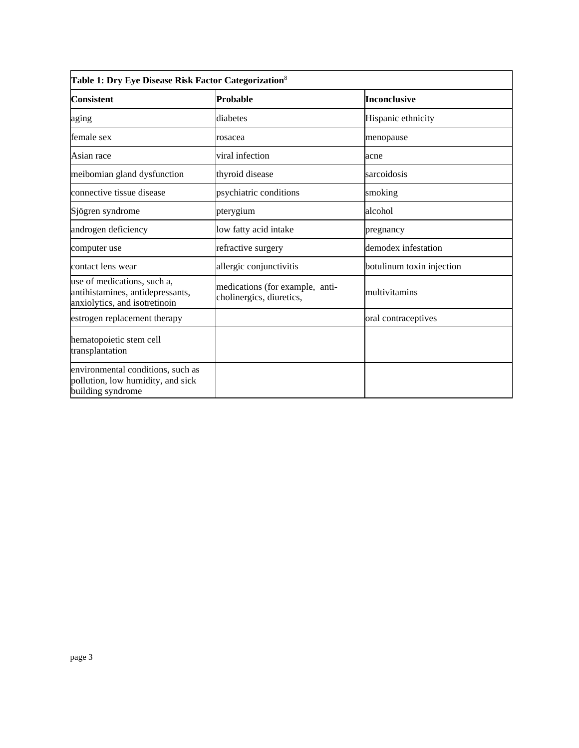| Table 1: Dry Eye Disease Risk Factor Categorization <sup>8</sup>                                 |                                                             |                           |
|--------------------------------------------------------------------------------------------------|-------------------------------------------------------------|---------------------------|
| <b>Consistent</b>                                                                                | Probable                                                    | <b>Inconclusive</b>       |
| aging                                                                                            | diabetes                                                    | Hispanic ethnicity        |
| female sex                                                                                       | rosacea                                                     | menopause                 |
| Asian race                                                                                       | viral infection                                             | acne                      |
| meibomian gland dysfunction                                                                      | thyroid disease                                             | sarcoidosis               |
| connective tissue disease                                                                        | psychiatric conditions                                      | smoking                   |
| Sjögren syndrome                                                                                 | pterygium                                                   | alcohol                   |
| androgen deficiency                                                                              | low fatty acid intake                                       | pregnancy                 |
| computer use                                                                                     | refractive surgery                                          | demodex infestation       |
| contact lens wear                                                                                | allergic conjunctivitis                                     | botulinum toxin injection |
| use of medications, such a,<br>antihistamines, antidepressants,<br>anxiolytics, and isotretinoin | medications (for example, anti-<br>cholinergics, diuretics, | multivitamins             |
| estrogen replacement therapy                                                                     |                                                             | oral contraceptives       |
| hematopoietic stem cell<br>transplantation                                                       |                                                             |                           |
| environmental conditions, such as<br>pollution, low humidity, and sick<br>building syndrome      |                                                             |                           |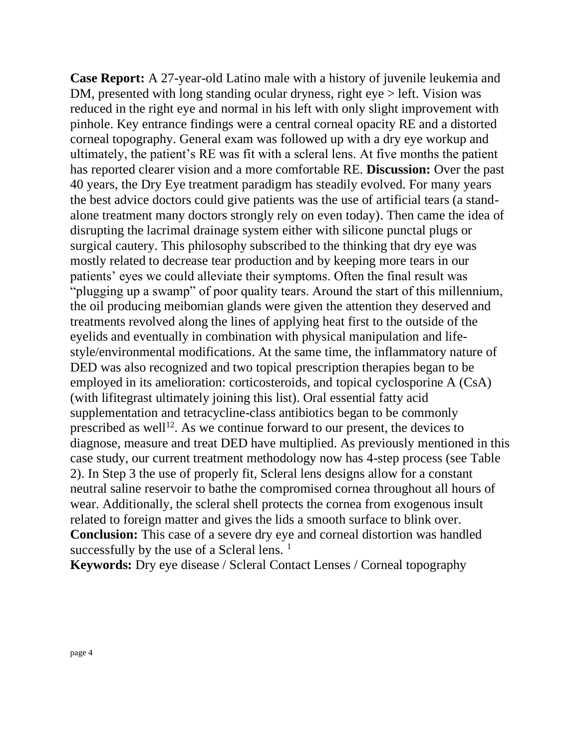**Case Report:** A 27-year-old Latino male with a history of juvenile leukemia and DM, presented with long standing ocular dryness, right eye > left. Vision was reduced in the right eye and normal in his left with only slight improvement with pinhole. Key entrance findings were a central corneal opacity RE and a distorted corneal topography. General exam was followed up with a dry eye workup and ultimately, the patient's RE was fit with a scleral lens. At five months the patient has reported clearer vision and a more comfortable RE. **Discussion:** Over the past 40 years, the Dry Eye treatment paradigm has steadily evolved. For many years the best advice doctors could give patients was the use of artificial tears (a standalone treatment many doctors strongly rely on even today). Then came the idea of disrupting the lacrimal drainage system either with silicone punctal plugs or surgical cautery. This philosophy subscribed to the thinking that dry eye was mostly related to decrease tear production and by keeping more tears in our patients' eyes we could alleviate their symptoms. Often the final result was "plugging up a swamp" of poor quality tears. Around the start of this millennium, the oil producing meibomian glands were given the attention they deserved and treatments revolved along the lines of applying heat first to the outside of the eyelids and eventually in combination with physical manipulation and lifestyle/environmental modifications. At the same time, the inflammatory nature of DED was also recognized and two topical prescription therapies began to be employed in its amelioration: corticosteroids, and topical cyclosporine A (CsA) (with lifitegrast ultimately joining this list). Oral essential fatty acid supplementation and tetracycline-class antibiotics began to be commonly prescribed as well<sup>12</sup>. As we continue forward to our present, the devices to diagnose, measure and treat DED have multiplied. As previously mentioned in this case study, our current treatment methodology now has 4-step process (see Table 2). In Step 3 the use of properly fit, Scleral lens designs allow for a constant neutral saline reservoir to bathe the compromised cornea throughout all hours of wear. Additionally, the scleral shell protects the cornea from exogenous insult related to foreign matter and gives the lids a smooth surface to blink over. **Conclusion:** This case of a severe dry eye and corneal distortion was handled successfully by the use of a Scleral lens.  $<sup>1</sup>$ </sup>

**Keywords:** Dry eye disease / Scleral Contact Lenses / Corneal topography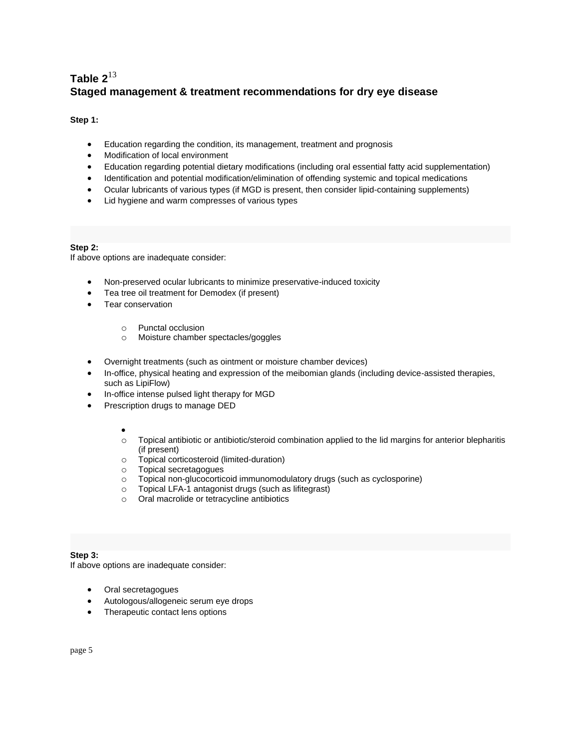#### **Table 2** 13 **Staged management & treatment recommendations for dry eye disease**

#### **Step 1:**

- Education regarding the condition, its management, treatment and prognosis
- Modification of local environment
- Education regarding potential dietary modifications (including oral essential fatty acid supplementation)
- Identification and potential modification/elimination of offending systemic and topical medications
- Ocular lubricants of various types (if MGD is present, then consider lipid-containing supplements)
- Lid hygiene and warm compresses of various types

#### **Step 2:**

If above options are inadequate consider:

- Non-preserved ocular lubricants to minimize preservative-induced toxicity
- Tea tree oil treatment for Demodex (if present)
- Tear conservation
	- o Punctal occlusion
	- o Moisture chamber spectacles/goggles
- Overnight treatments (such as ointment or moisture chamber devices)
- In-office, physical heating and expression of the meibomian glands (including device-assisted therapies, such as LipiFlow)
- In-office intense pulsed light therapy for MGD
- Prescription drugs to manage DED
	- •
	- o Topical antibiotic or antibiotic/steroid combination applied to the lid margins for anterior blepharitis (if present)
	- o Topical corticosteroid (limited-duration)
	- o Topical secretagogues
	- o Topical non-glucocorticoid immunomodulatory drugs (such as cyclosporine)
	- o Topical LFA-1 antagonist drugs (such as lifitegrast)
	- o Oral macrolide or tetracycline antibiotics

#### **Step 3:**

If above options are inadequate consider:

- Oral secretagogues
- Autologous/allogeneic serum eye drops
- Therapeutic contact lens options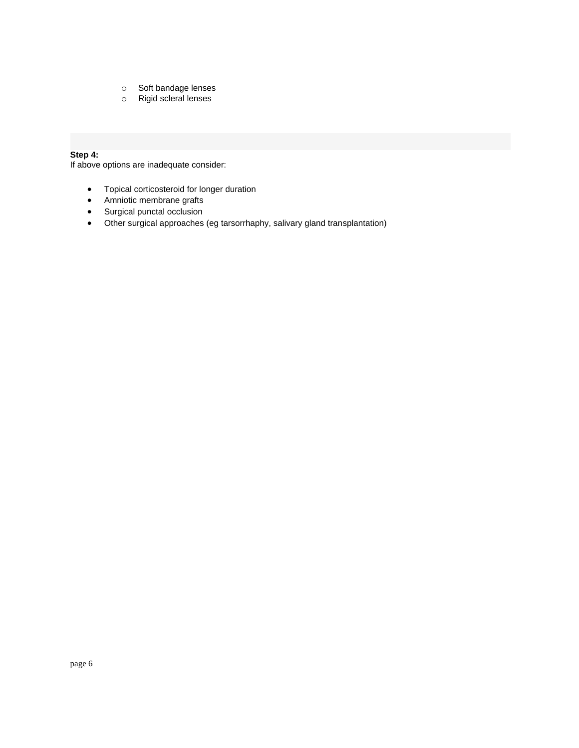- o Soft bandage lenses<br>
o Rigid scleral lenses
- Rigid scleral lenses

#### **Step 4:**

If above options are inadequate consider:

- Topical corticosteroid for longer duration
- Amniotic membrane grafts
- Surgical punctal occlusion
- Other surgical approaches (eg tarsorrhaphy, salivary gland transplantation)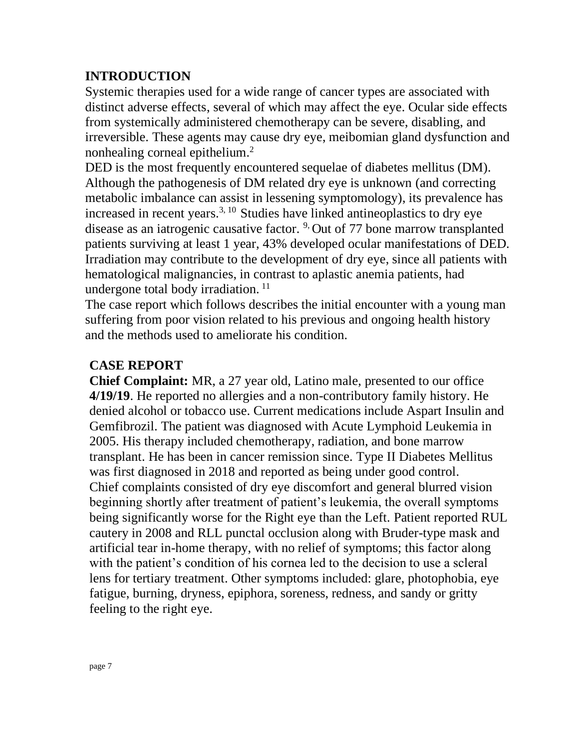#### **INTRODUCTION**

Systemic therapies used for a wide range of cancer types are associated with distinct adverse effects, several of which may affect the eye. Ocular side effects from systemically administered chemotherapy can be severe, disabling, and irreversible. These agents may cause dry eye, meibomian gland dysfunction and nonhealing corneal epithelium.<sup>2</sup>

DED is the most frequently encountered sequelae of diabetes mellitus (DM). Although the pathogenesis of DM related dry eye is unknown (and correcting metabolic imbalance can assist in lessening symptomology), its prevalence has increased in recent years.3, 10 Studies have linked antineoplastics to dry eye disease as an iatrogenic causative factor. <sup>9</sup> Out of 77 bone marrow transplanted patients surviving at least 1 year, 43% developed ocular manifestations of DED. Irradiation may contribute to the development of dry eye, since all patients with hematological malignancies, in contrast to aplastic anemia patients, had undergone total body irradiation.  $^{11}$ 

The case report which follows describes the initial encounter with a young man suffering from poor vision related to his previous and ongoing health history and the methods used to ameliorate his condition.

#### **CASE REPORT**

**Chief Complaint:** MR, a 27 year old, Latino male, presented to our office **4/19/19**. He reported no allergies and a non-contributory family history. He denied alcohol or tobacco use. Current medications include Aspart Insulin and Gemfibrozil. The patient was diagnosed with Acute Lymphoid Leukemia in 2005. His therapy included chemotherapy, radiation, and bone marrow transplant. He has been in cancer remission since. Type II Diabetes Mellitus was first diagnosed in 2018 and reported as being under good control. Chief complaints consisted of dry eye discomfort and general blurred vision beginning shortly after treatment of patient's leukemia, the overall symptoms being significantly worse for the Right eye than the Left. Patient reported RUL cautery in 2008 and RLL punctal occlusion along with Bruder-type mask and artificial tear in-home therapy, with no relief of symptoms; this factor along with the patient's condition of his cornea led to the decision to use a scleral lens for tertiary treatment. Other symptoms included: glare, photophobia, eye fatigue, burning, dryness, epiphora, soreness, redness, and sandy or gritty feeling to the right eye.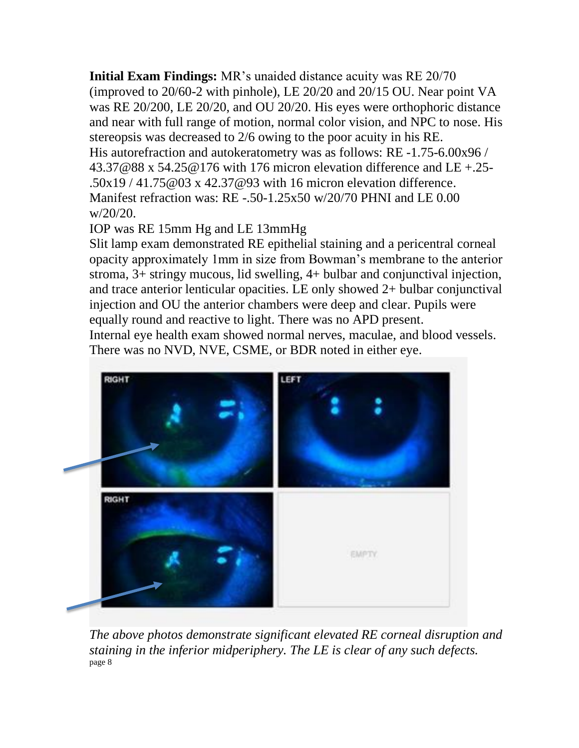**Initial Exam Findings:** MR's unaided distance acuity was RE 20/70 (improved to 20/60-2 with pinhole), LE 20/20 and 20/15 OU. Near point VA was RE 20/200, LE 20/20, and OU 20/20. His eyes were orthophoric distance and near with full range of motion, normal color vision, and NPC to nose. His stereopsis was decreased to 2/6 owing to the poor acuity in his RE. His autorefraction and autokeratometry was as follows: RE -1.75-6.00x96 / [43.37@88](mailto:43.37@88) x [54.25@176](mailto:54.25@176) with 176 micron elevation difference and LE +.25- .50x19 / [41.75@03](mailto:41.75@03) x [42.37@93](mailto:42.37@93) with 16 micron elevation difference. Manifest refraction was: RE -.50-1.25x50 w/20/70 PHNI and LE 0.00 w/20/20.

IOP was RE 15mm Hg and LE 13mmHg

Slit lamp exam demonstrated RE epithelial staining and a pericentral corneal opacity approximately 1mm in size from Bowman's membrane to the anterior stroma, 3+ stringy mucous, lid swelling, 4+ bulbar and conjunctival injection, and trace anterior lenticular opacities. LE only showed 2+ bulbar conjunctival injection and OU the anterior chambers were deep and clear. Pupils were equally round and reactive to light. There was no APD present.

Internal eye health exam showed normal nerves, maculae, and blood vessels. There was no NVD, NVE, CSME, or BDR noted in either eye.



*The above photos demonstrate significant elevated RE corneal disruption and staining in the inferior midperiphery. The LE is clear of any such defects.* page 8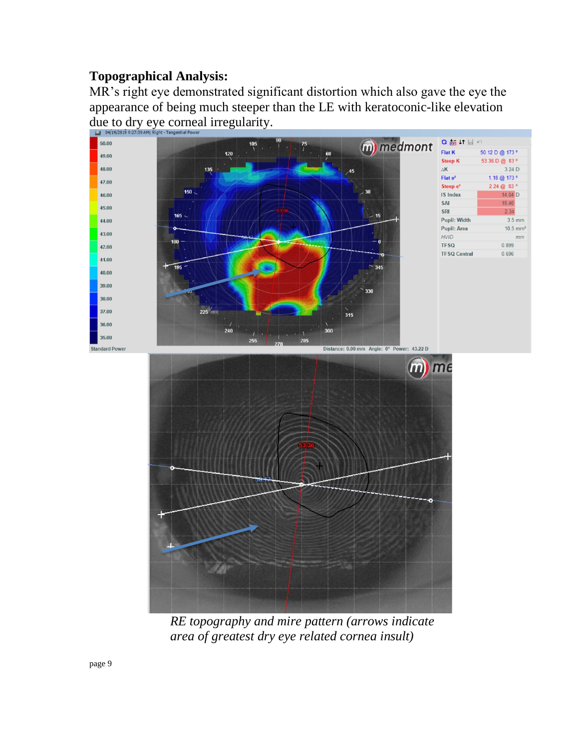### **Topographical Analysis:**

MR's right eye demonstrated significant distortion which also gave the eye the appearance of being much steeper than the LE with keratoconic-like elevation due to dry eye corneal irregularity.



*RE topography and mire pattern (arrows indicate area of greatest dry eye related cornea insult)*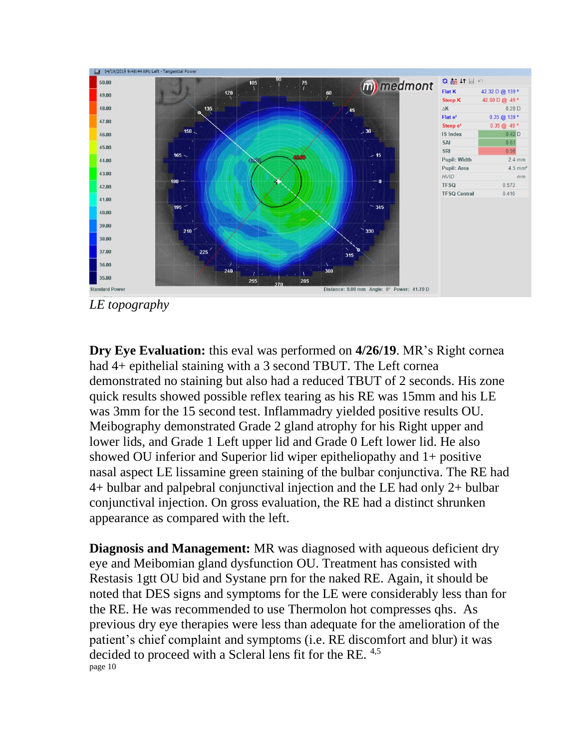

*LE topography*

**Dry Eye Evaluation:** this eval was performed on **4/26/19**. MR's Right cornea had 4+ epithelial staining with a 3 second TBUT. The Left cornea demonstrated no staining but also had a reduced TBUT of 2 seconds. His zone quick results showed possible reflex tearing as his RE was 15mm and his LE was 3mm for the 15 second test. Inflammadry yielded positive results OU. Meibography demonstrated Grade 2 gland atrophy for his Right upper and lower lids, and Grade 1 Left upper lid and Grade 0 Left lower lid. He also showed OU inferior and Superior lid wiper epitheliopathy and 1+ positive nasal aspect LE lissamine green staining of the bulbar conjunctiva. The RE had 4+ bulbar and palpebral conjunctival injection and the LE had only 2+ bulbar conjunctival injection. On gross evaluation, the RE had a distinct shrunken appearance as compared with the left.

**Diagnosis and Management:** MR was diagnosed with aqueous deficient dry eye and Meibomian gland dysfunction OU. Treatment has consisted with Restasis 1gtt OU bid and Systane prn for the naked RE. Again, it should be noted that DES signs and symptoms for the LE were considerably less than for the RE. He was recommended to use Thermolon hot compresses qhs. As previous dry eye therapies were less than adequate for the amelioration of the patient's chief complaint and symptoms (i.e. RE discomfort and blur) it was decided to proceed with a Scleral lens fit for the RE. 4,5 page 10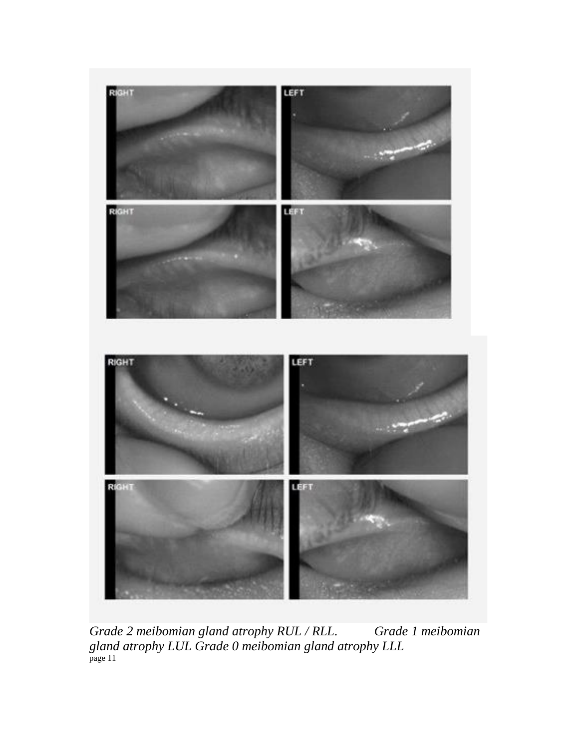

*Grade 2 meibomian gland atrophy RUL / RLL. Grade 1 meibomian gland atrophy LUL Grade 0 meibomian gland atrophy LLL* page 11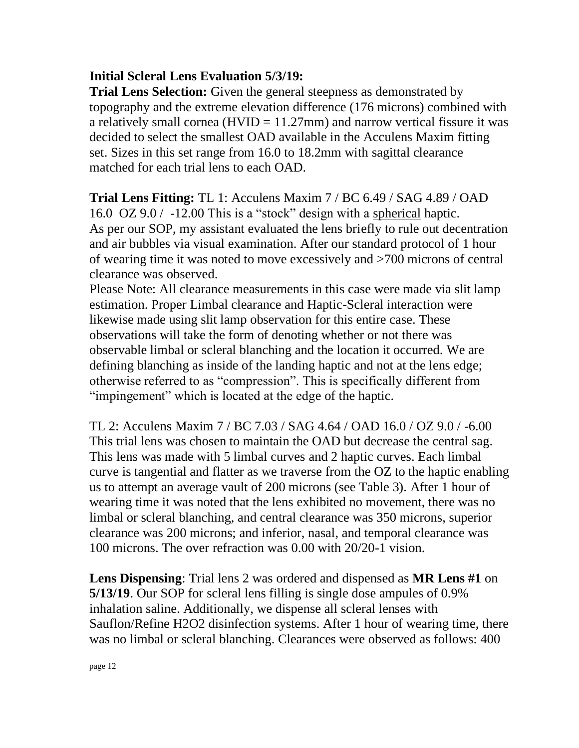### **Initial Scleral Lens Evaluation 5/3/19:**

**Trial Lens Selection:** Given the general steepness as demonstrated by topography and the extreme elevation difference (176 microns) combined with a relatively small cornea ( $HVID = 11.27mm$ ) and narrow vertical fissure it was decided to select the smallest OAD available in the Acculens Maxim fitting set. Sizes in this set range from 16.0 to 18.2mm with sagittal clearance matched for each trial lens to each OAD.

### **Trial Lens Fitting:** TL 1: Acculens Maxim 7 / BC 6.49 / SAG 4.89 / OAD

16.0 OZ 9.0 / -12.00 This is a "stock" design with a spherical haptic. As per our SOP, my assistant evaluated the lens briefly to rule out decentration and air bubbles via visual examination. After our standard protocol of 1 hour of wearing time it was noted to move excessively and >700 microns of central clearance was observed.

Please Note: All clearance measurements in this case were made via slit lamp estimation. Proper Limbal clearance and Haptic-Scleral interaction were likewise made using slit lamp observation for this entire case. These observations will take the form of denoting whether or not there was observable limbal or scleral blanching and the location it occurred. We are defining blanching as inside of the landing haptic and not at the lens edge; otherwise referred to as "compression". This is specifically different from "impingement" which is located at the edge of the haptic.

TL 2: Acculens Maxim 7 / BC 7.03 / SAG 4.64 / OAD 16.0 / OZ 9.0 / -6.00 This trial lens was chosen to maintain the OAD but decrease the central sag. This lens was made with 5 limbal curves and 2 haptic curves. Each limbal curve is tangential and flatter as we traverse from the OZ to the haptic enabling us to attempt an average vault of 200 microns (see Table 3). After 1 hour of wearing time it was noted that the lens exhibited no movement, there was no limbal or scleral blanching, and central clearance was 350 microns, superior clearance was 200 microns; and inferior, nasal, and temporal clearance was 100 microns. The over refraction was 0.00 with 20/20-1 vision.

**Lens Dispensing**: Trial lens 2 was ordered and dispensed as **MR Lens #1** on **5/13/19**. Our SOP for scleral lens filling is single dose ampules of 0.9% inhalation saline. Additionally, we dispense all scleral lenses with Sauflon/Refine H2O2 disinfection systems. After 1 hour of wearing time, there was no limbal or scleral blanching. Clearances were observed as follows: 400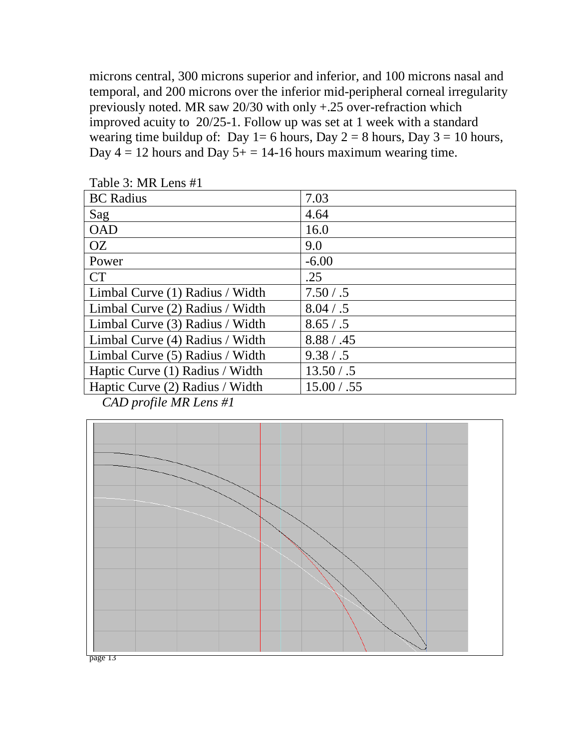microns central, 300 microns superior and inferior, and 100 microns nasal and temporal, and 200 microns over the inferior mid-peripheral corneal irregularity previously noted. MR saw 20/30 with only +.25 over-refraction which improved acuity to 20/25-1. Follow up was set at 1 week with a standard wearing time buildup of: Day 1= 6 hours, Day 2 = 8 hours, Day 3 = 10 hours, Day  $4 = 12$  hours and Day  $5 + = 14-16$  hours maximum wearing time.

| <b>BC</b> Radius                | 7.03        |
|---------------------------------|-------------|
| Sag                             | 4.64        |
| <b>OAD</b>                      | 16.0        |
| <b>OZ</b>                       | 9.0         |
| Power                           | $-6.00$     |
| <b>CT</b>                       | .25         |
| Limbal Curve (1) Radius / Width | 7.50 / .5   |
| Limbal Curve (2) Radius / Width | 8.04 / .5   |
| Limbal Curve (3) Radius / Width | 8.65 / .5   |
| Limbal Curve (4) Radius / Width | 8.88 / .45  |
| Limbal Curve (5) Radius / Width | 9.38 / .5   |
| Haptic Curve (1) Radius / Width | 13.50 / .5  |
| Haptic Curve (2) Radius / Width | 15.00 / .55 |
| $C_{1}D_{2}$ $C_{1}M_{1}$       |             |

Table 3: MR Lens #1

*CAD profile MR Lens #1*



page 13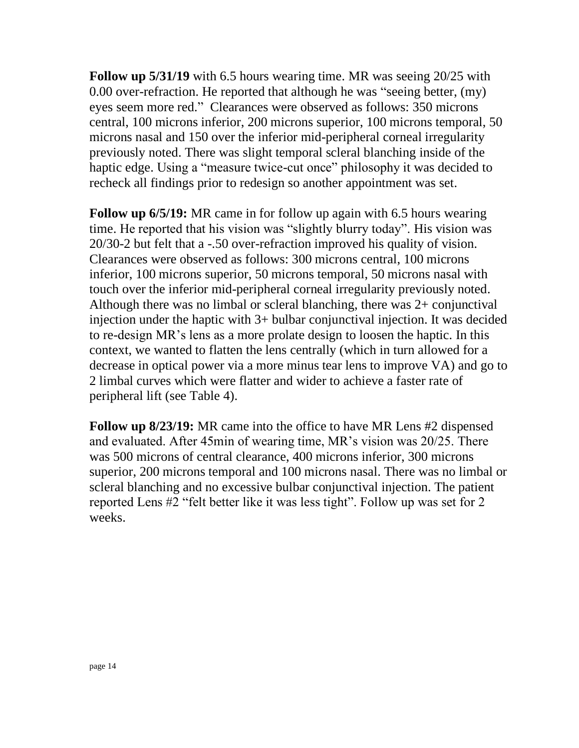**Follow up 5/31/19** with 6.5 hours wearing time. MR was seeing 20/25 with 0.00 over-refraction. He reported that although he was "seeing better, (my) eyes seem more red." Clearances were observed as follows: 350 microns central, 100 microns inferior, 200 microns superior, 100 microns temporal, 50 microns nasal and 150 over the inferior mid-peripheral corneal irregularity previously noted. There was slight temporal scleral blanching inside of the haptic edge. Using a "measure twice-cut once" philosophy it was decided to recheck all findings prior to redesign so another appointment was set.

**Follow up 6/5/19:** MR came in for follow up again with 6.5 hours wearing time. He reported that his vision was "slightly blurry today". His vision was 20/30-2 but felt that a -.50 over-refraction improved his quality of vision. Clearances were observed as follows: 300 microns central, 100 microns inferior, 100 microns superior, 50 microns temporal, 50 microns nasal with touch over the inferior mid-peripheral corneal irregularity previously noted. Although there was no limbal or scleral blanching, there was 2+ conjunctival injection under the haptic with 3+ bulbar conjunctival injection. It was decided to re-design MR's lens as a more prolate design to loosen the haptic. In this context, we wanted to flatten the lens centrally (which in turn allowed for a decrease in optical power via a more minus tear lens to improve VA) and go to 2 limbal curves which were flatter and wider to achieve a faster rate of peripheral lift (see Table 4).

**Follow up 8/23/19:** MR came into the office to have MR Lens #2 dispensed and evaluated. After 45min of wearing time, MR's vision was 20/25. There was 500 microns of central clearance, 400 microns inferior, 300 microns superior, 200 microns temporal and 100 microns nasal. There was no limbal or scleral blanching and no excessive bulbar conjunctival injection. The patient reported Lens #2 "felt better like it was less tight". Follow up was set for 2 weeks.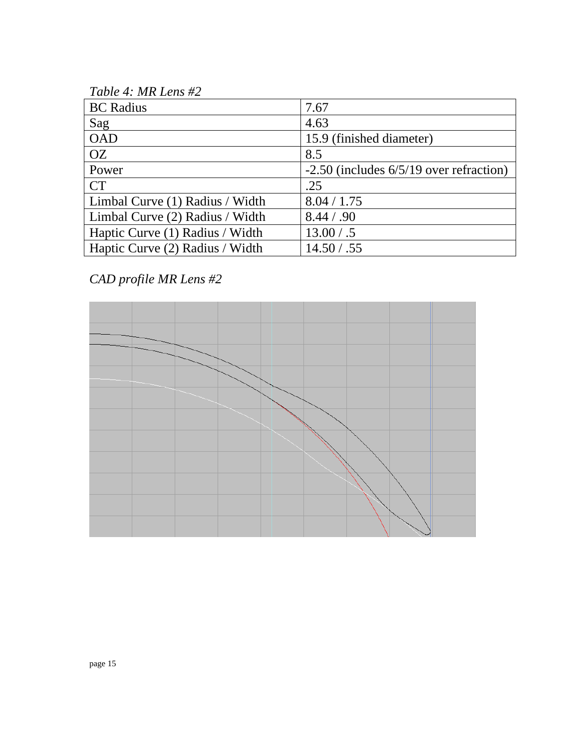*Table 4: MR Lens #2*

| <b>BC</b> Radius                | 7.67                                        |
|---------------------------------|---------------------------------------------|
| Sag                             | 4.63                                        |
| <b>OAD</b>                      | 15.9 (finished diameter)                    |
| <b>OZ</b>                       | 8.5                                         |
| Power                           | $-2.50$ (includes $6/5/19$ over refraction) |
| <b>CT</b>                       | .25                                         |
| Limbal Curve (1) Radius / Width | 8.04 / 1.75                                 |
| Limbal Curve (2) Radius / Width | 8.44 / .90                                  |
| Haptic Curve (1) Radius / Width | 13.00 / .5                                  |
| Haptic Curve (2) Radius / Width | 14.50 / .55                                 |

## *CAD profile MR Lens #2*

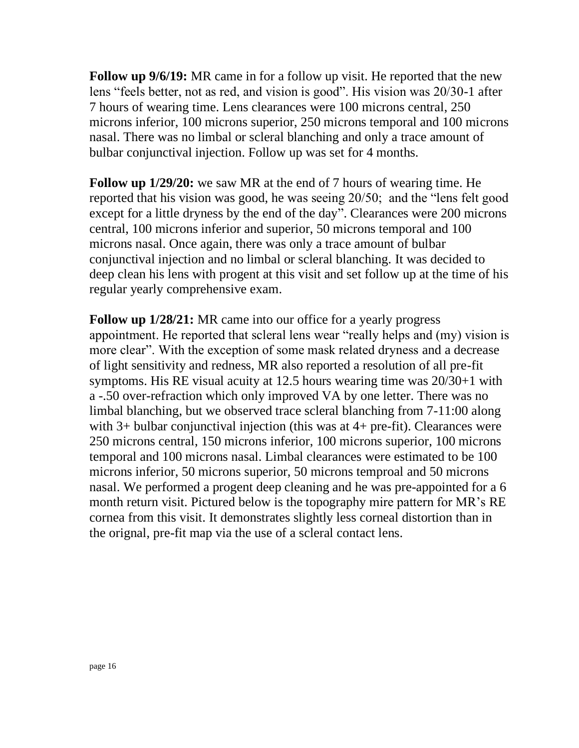**Follow up 9/6/19:** MR came in for a follow up visit. He reported that the new lens "feels better, not as red, and vision is good". His vision was 20/30-1 after 7 hours of wearing time. Lens clearances were 100 microns central, 250 microns inferior, 100 microns superior, 250 microns temporal and 100 microns nasal. There was no limbal or scleral blanching and only a trace amount of bulbar conjunctival injection. Follow up was set for 4 months.

**Follow up 1/29/20:** we saw MR at the end of 7 hours of wearing time. He reported that his vision was good, he was seeing 20/50; and the "lens felt good except for a little dryness by the end of the day". Clearances were 200 microns central, 100 microns inferior and superior, 50 microns temporal and 100 microns nasal. Once again, there was only a trace amount of bulbar conjunctival injection and no limbal or scleral blanching. It was decided to deep clean his lens with progent at this visit and set follow up at the time of his regular yearly comprehensive exam.

**Follow up 1/28/21:** MR came into our office for a yearly progress appointment. He reported that scleral lens wear "really helps and (my) vision is more clear". With the exception of some mask related dryness and a decrease of light sensitivity and redness, MR also reported a resolution of all pre-fit symptoms. His RE visual acuity at 12.5 hours wearing time was 20/30+1 with a -.50 over-refraction which only improved VA by one letter. There was no limbal blanching, but we observed trace scleral blanching from 7-11:00 along with 3+ bulbar conjunctival injection (this was at 4+ pre-fit). Clearances were 250 microns central, 150 microns inferior, 100 microns superior, 100 microns temporal and 100 microns nasal. Limbal clearances were estimated to be 100 microns inferior, 50 microns superior, 50 microns temproal and 50 microns nasal. We performed a progent deep cleaning and he was pre-appointed for a 6 month return visit. Pictured below is the topography mire pattern for MR's RE cornea from this visit. It demonstrates slightly less corneal distortion than in the orignal, pre-fit map via the use of a scleral contact lens.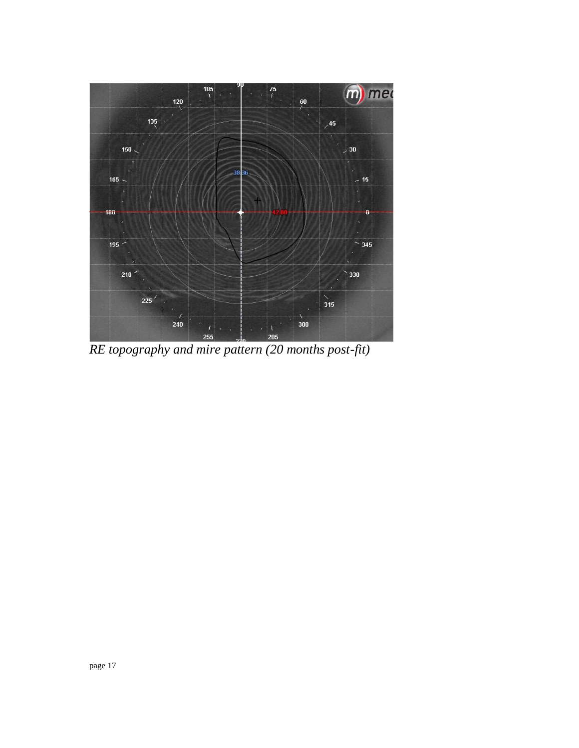

*RE topography and mire pattern (20 months post-fit)*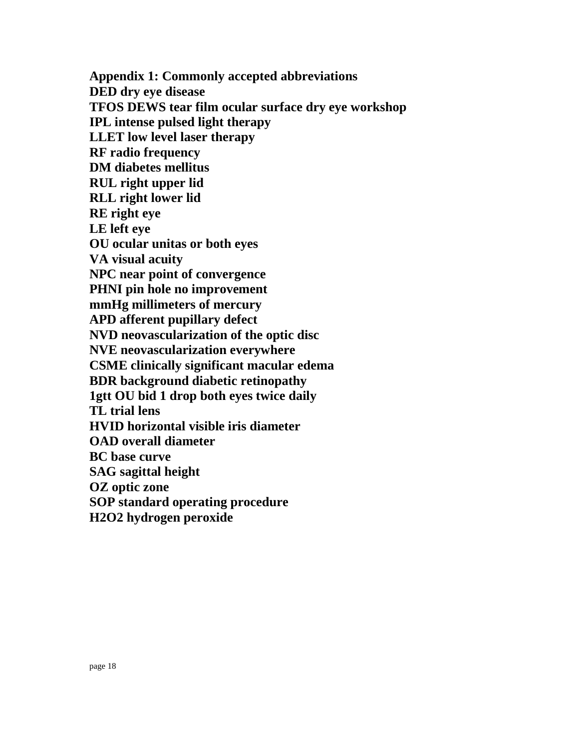**Appendix 1: Commonly accepted abbreviations DED dry eye disease TFOS DEWS tear film ocular surface dry eye workshop IPL intense pulsed light therapy LLET low level laser therapy RF radio frequency DM diabetes mellitus RUL right upper lid RLL right lower lid RE right eye LE left eye OU ocular unitas or both eyes VA visual acuity NPC near point of convergence PHNI pin hole no improvement mmHg millimeters of mercury APD afferent pupillary defect NVD neovascularization of the optic disc NVE neovascularization everywhere CSME clinically significant macular edema BDR background diabetic retinopathy 1gtt OU bid 1 drop both eyes twice daily TL trial lens HVID horizontal visible iris diameter OAD overall diameter BC base curve SAG sagittal height OZ optic zone SOP standard operating procedure H2O2 hydrogen peroxide**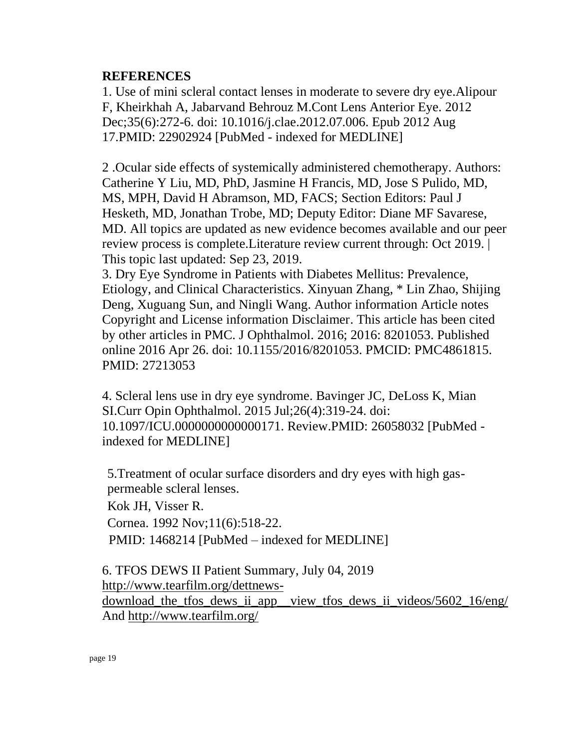#### **REFERENCES**

1. Use of mini scleral contact lenses in moderate to severe dry eye.Alipour F, Kheirkhah A, Jabarvand Behrouz M.Cont Lens Anterior Eye. 2012 Dec;35(6):272-6. doi: 10.1016/j.clae.2012.07.006. Epub 2012 Aug 17.PMID: 22902924 [PubMed - indexed for MEDLINE]

2 .Ocular side effects of systemically administered chemotherapy. Authors: Catherine Y Liu, MD, PhD, Jasmine H Francis, MD, Jose S Pulido, MD, MS, MPH, David H Abramson, MD, FACS; Section Editors: Paul J Hesketh, MD, Jonathan Trobe, MD; Deputy Editor: Diane MF Savarese, MD. All topics are updated as new evidence becomes available and our peer review process is complete.Literature review current through: Oct 2019. | This topic last updated: Sep 23, 2019.

3. Dry Eye Syndrome in Patients with Diabetes Mellitus: Prevalence, Etiology, and Clinical Characteristics. Xinyuan Zhang, \* Lin Zhao, Shijing Deng, Xuguang Sun, and Ningli Wang. Author information Article notes Copyright and License information Disclaimer. This article has been cited by other articles in PMC. J Ophthalmol. 2016; 2016: 8201053. Published online 2016 Apr 26. doi: 10.1155/2016/8201053. PMCID: PMC4861815. PMID: 27213053

4. Scleral lens use in dry eye syndrome. Bavinger JC, DeLoss K, Mian SI.Curr Opin Ophthalmol. 2015 Jul;26(4):319-24. doi: 10.1097/ICU.0000000000000171. Review.PMID: 26058032 [PubMed indexed for MEDLINE]

5[.Treatment of ocular surface disorders and dry eyes with high gas](http://www.ncbi.nlm.nih.gov/pubmed/1468214?itool=Email.EmailReport.Pubmed_ReportSelector.Pubmed_RVDocSum&ordinalpos=41)[permeable scleral lenses.](http://www.ncbi.nlm.nih.gov/pubmed/1468214?itool=Email.EmailReport.Pubmed_ReportSelector.Pubmed_RVDocSum&ordinalpos=41)

Kok JH, Visser R.

Cornea. 1992 Nov;11(6):518-22.

PMID: 1468214 [PubMed – indexed for MEDLINE]

6. TFOS DEWS II Patient Summary, July 04, 2019 [http://www.tearfilm.org/dettnews](http://www.tearfilm.org/dettnews-download_the_tfos_dews_ii_app__view_tfos_dews_ii_videos/5602_16/eng/)download the tfos dews ii app\_view\_tfos\_dews\_ii\_videos/5602\_16/eng/ And<http://www.tearfilm.org/>